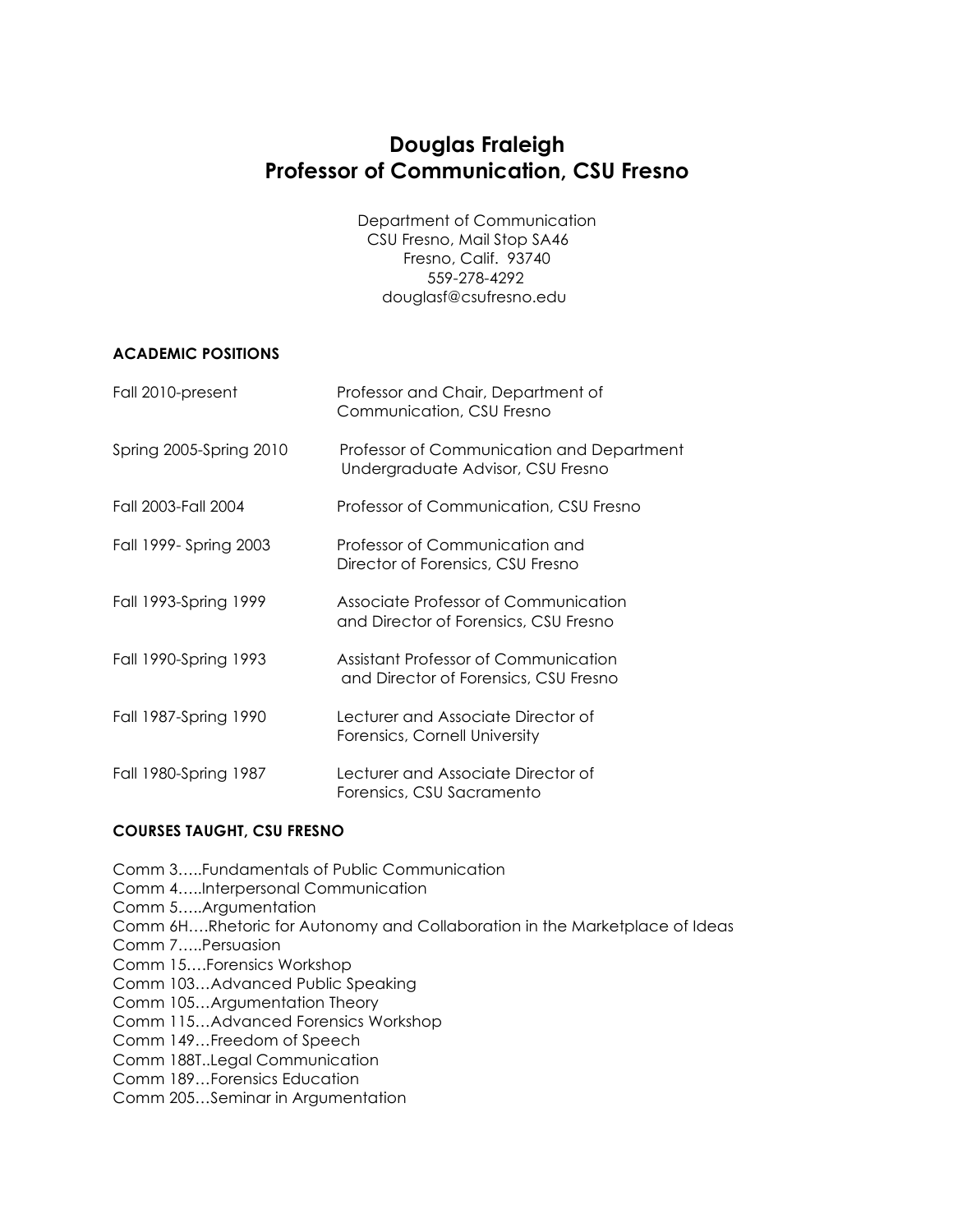# **Douglas Fraleigh Professor of Communication, CSU Fresno**

Department of Communication CSU Fresno, Mail Stop SA46 Fresno, Calif. 93740 559-278-4292 douglasf@csufresno.edu

# **ACADEMIC POSITIONS**

| Fall 2010-present       | Professor and Chair, Department of<br>Communication, CSU Fresno                |
|-------------------------|--------------------------------------------------------------------------------|
| Spring 2005-Spring 2010 | Professor of Communication and Department<br>Undergraduate Advisor, CSU Fresno |
| Fall 2003-Fall 2004     | Professor of Communication, CSU Fresno                                         |
| Fall 1999- Spring 2003  | Professor of Communication and<br>Director of Forensics, CSU Fresno            |
| Fall 1993-Spring 1999   | Associate Professor of Communication<br>and Director of Forensics, CSU Fresno  |
| Fall 1990-Spring 1993   | Assistant Professor of Communication<br>and Director of Forensics, CSU Fresno  |
| Fall 1987-Spring 1990   | Lecturer and Associate Director of<br>Forensics, Cornell University            |
| Fall 1980-Spring 1987   | Lecturer and Associate Director of<br>Forensics, CSU Sacramento                |

# **COURSES TAUGHT, CSU FRESNO**

Comm 3…..Fundamentals of Public Communication Comm 4…..Interpersonal Communication Comm 5…..Argumentation Comm 6H….Rhetoric for Autonomy and Collaboration in the Marketplace of Ideas Comm 7…..Persuasion Comm 15….Forensics Workshop Comm 103…Advanced Public Speaking Comm 105…Argumentation Theory Comm 115…Advanced Forensics Workshop Comm 149…Freedom of Speech Comm 188T..Legal Communication Comm 189…Forensics Education Comm 205…Seminar in Argumentation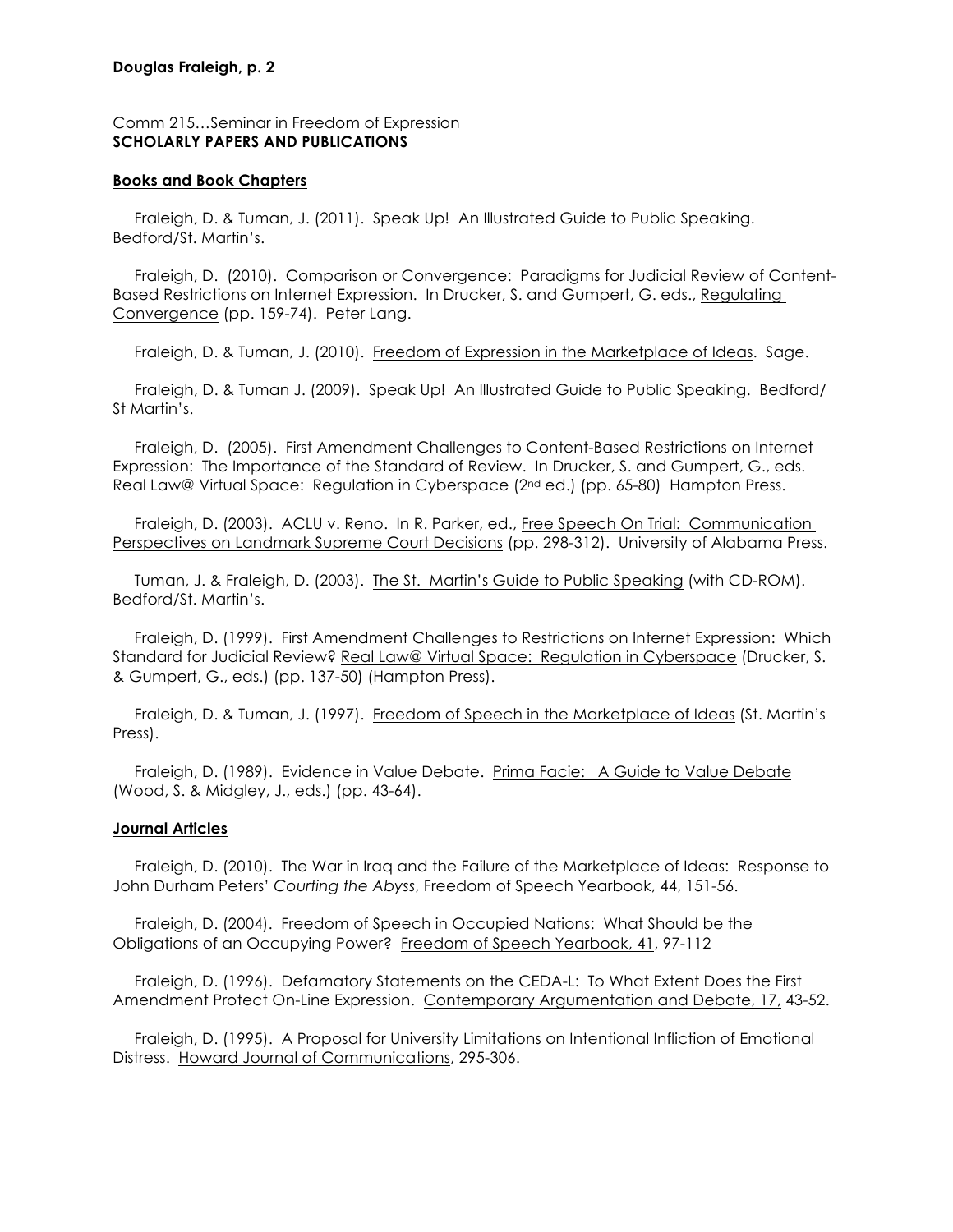### **Douglas Fraleigh, p. 2**

# Comm 215…Seminar in Freedom of Expression **SCHOLARLY PAPERS AND PUBLICATIONS**

### **Books and Book Chapters**

 Fraleigh, D. & Tuman, J. (2011). Speak Up! An Illustrated Guide to Public Speaking. Bedford/St. Martin's.

 Fraleigh, D. (2010). Comparison or Convergence: Paradigms for Judicial Review of Content-Based Restrictions on Internet Expression. In Drucker, S. and Gumpert, G. eds., Regulating Convergence (pp. 159-74). Peter Lang.

Fraleigh, D. & Tuman, J. (2010). Freedom of Expression in the Marketplace of Ideas. Sage.

Fraleigh, D. & Tuman J. (2009). Speak Up! An Illustrated Guide to Public Speaking. Bedford/ St Martin's.

 Fraleigh, D. (2005). First Amendment Challenges to Content-Based Restrictions on Internet Expression: The Importance of the Standard of Review. In Drucker, S. and Gumpert, G., eds. Real Law@ Virtual Space: Regulation in Cyberspace (2nd ed.) (pp. 65-80) Hampton Press.

 Fraleigh, D. (2003). ACLU v. Reno. In R. Parker, ed., Free Speech On Trial: Communication Perspectives on Landmark Supreme Court Decisions (pp. 298-312). University of Alabama Press.

 Tuman, J. & Fraleigh, D. (2003). The St. Martin's Guide to Public Speaking (with CD-ROM). Bedford/St. Martin's.

 Fraleigh, D. (1999). First Amendment Challenges to Restrictions on Internet Expression: Which Standard for Judicial Review? Real Law@ Virtual Space: Regulation in Cyberspace (Drucker, S. & Gumpert, G., eds.) (pp. 137-50) (Hampton Press).

 Fraleigh, D. & Tuman, J. (1997). Freedom of Speech in the Marketplace of Ideas (St. Martin's Press).

 Fraleigh, D. (1989). Evidence in Value Debate. Prima Facie: A Guide to Value Debate (Wood, S. & Midgley, J., eds.) (pp. 43-64).

# **Journal Articles**

 Fraleigh, D. (2010). The War in Iraq and the Failure of the Marketplace of Ideas: Response to John Durham Peters' *Courting the Abyss*, Freedom of Speech Yearbook, 44, 151-56.

 Fraleigh, D. (2004). Freedom of Speech in Occupied Nations: What Should be the Obligations of an Occupying Power? Freedom of Speech Yearbook, 41, 97-112

 Fraleigh, D. (1996). Defamatory Statements on the CEDA-L: To What Extent Does the First Amendment Protect On-Line Expression. Contemporary Argumentation and Debate, 17, 43-52.

 Fraleigh, D. (1995). A Proposal for University Limitations on Intentional Infliction of Emotional Distress. Howard Journal of Communications, 295-306.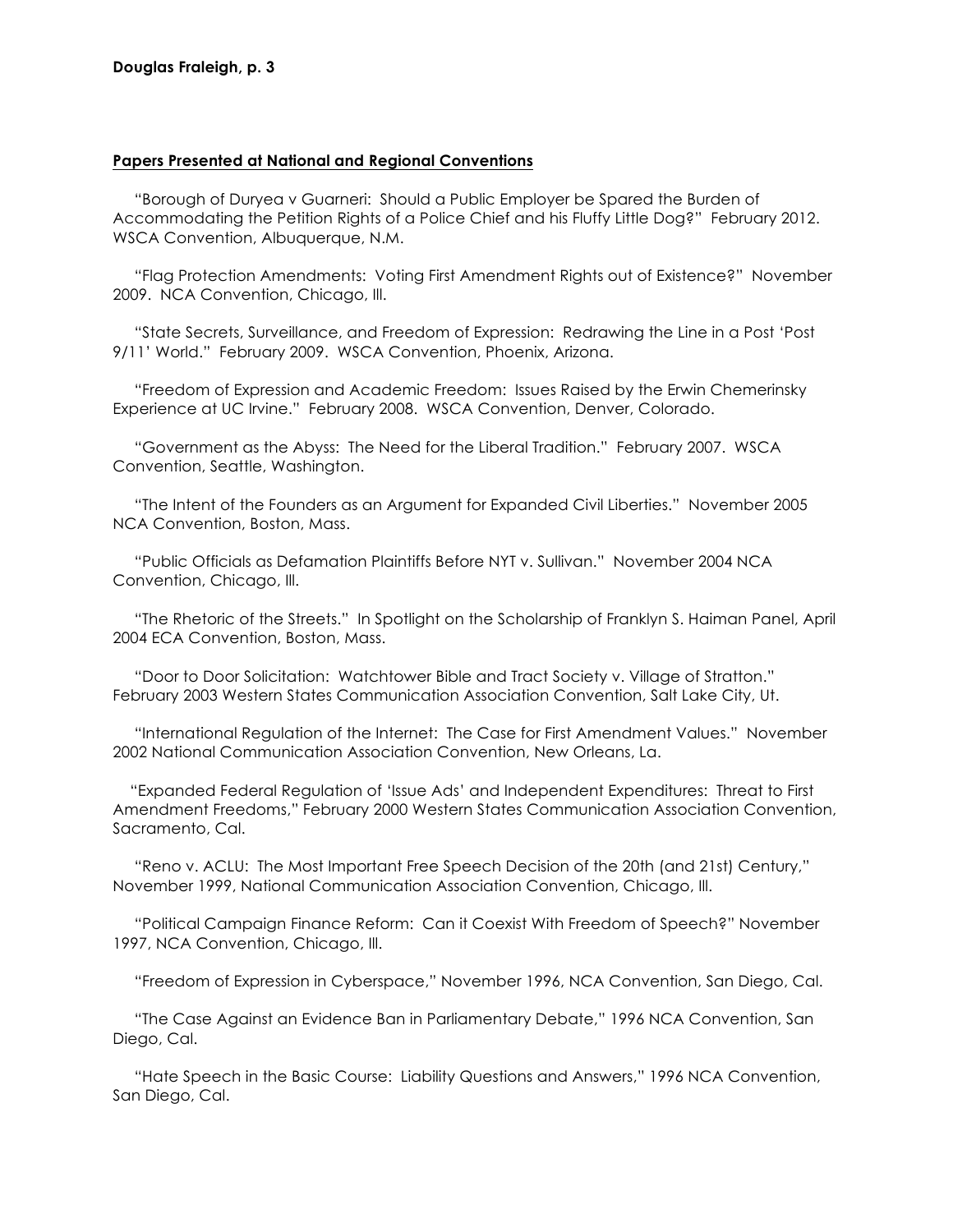### **Papers Presented at National and Regional Conventions**

 "Borough of Duryea v Guarneri: Should a Public Employer be Spared the Burden of Accommodating the Petition Rights of a Police Chief and his Fluffy Little Dog?" February 2012. WSCA Convention, Albuquerque, N.M.

 "Flag Protection Amendments: Voting First Amendment Rights out of Existence?" November 2009. NCA Convention, Chicago, Ill.

 "State Secrets, Surveillance, and Freedom of Expression: Redrawing the Line in a Post 'Post 9/11' World." February 2009. WSCA Convention, Phoenix, Arizona.

 "Freedom of Expression and Academic Freedom: Issues Raised by the Erwin Chemerinsky Experience at UC Irvine." February 2008. WSCA Convention, Denver, Colorado.

 "Government as the Abyss: The Need for the Liberal Tradition." February 2007. WSCA Convention, Seattle, Washington.

 "The Intent of the Founders as an Argument for Expanded Civil Liberties." November 2005 NCA Convention, Boston, Mass.

 "Public Officials as Defamation Plaintiffs Before NYT v. Sullivan." November 2004 NCA Convention, Chicago, Ill.

 "The Rhetoric of the Streets." In Spotlight on the Scholarship of Franklyn S. Haiman Panel, April 2004 ECA Convention, Boston, Mass.

 "Door to Door Solicitation: Watchtower Bible and Tract Society v. Village of Stratton." February 2003 Western States Communication Association Convention, Salt Lake City, Ut.

 "International Regulation of the Internet: The Case for First Amendment Values." November 2002 National Communication Association Convention, New Orleans, La.

 "Expanded Federal Regulation of 'Issue Ads' and Independent Expenditures: Threat to First Amendment Freedoms," February 2000 Western States Communication Association Convention, Sacramento, Cal.

 "Reno v. ACLU: The Most Important Free Speech Decision of the 20th (and 21st) Century," November 1999, National Communication Association Convention, Chicago, Ill.

 "Political Campaign Finance Reform: Can it Coexist With Freedom of Speech?" November 1997, NCA Convention, Chicago, III.

"Freedom of Expression in Cyberspace," November 1996, NCA Convention, San Diego, Cal.

 "The Case Against an Evidence Ban in Parliamentary Debate," 1996 NCA Convention, San Diego, Cal.

 "Hate Speech in the Basic Course: Liability Questions and Answers," 1996 NCA Convention, San Diego, Cal.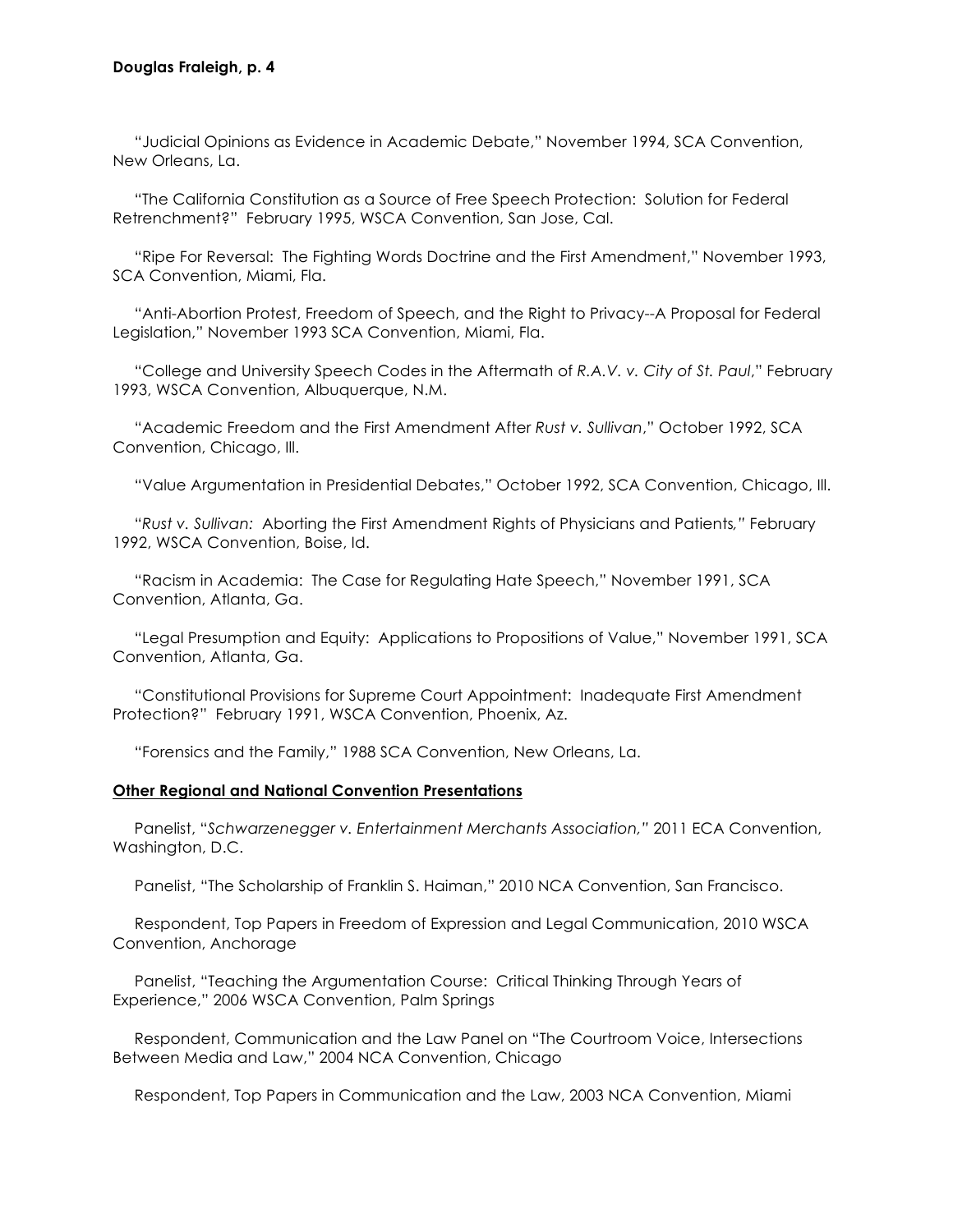"Judicial Opinions as Evidence in Academic Debate," November 1994, SCA Convention, New Orleans, La.

 "The California Constitution as a Source of Free Speech Protection: Solution for Federal Retrenchment?" February 1995, WSCA Convention, San Jose, Cal.

 "Ripe For Reversal: The Fighting Words Doctrine and the First Amendment," November 1993, SCA Convention, Miami, Fla.

 "Anti-Abortion Protest, Freedom of Speech, and the Right to Privacy--A Proposal for Federal Legislation," November 1993 SCA Convention, Miami, Fla.

 "College and University Speech Codes in the Aftermath of *R.A.V. v. City of St. Paul*," February 1993, WSCA Convention, Albuquerque, N.M.

 "Academic Freedom and the First Amendment After *Rust v. Sullivan*," October 1992, SCA Convention, Chicago, Ill.

"Value Argumentation in Presidential Debates," October 1992, SCA Convention, Chicago, Ill.

 "*Rust v. Sullivan:* Aborting the First Amendment Rights of Physicians and Patients*,"* February 1992, WSCA Convention, Boise, Id.

 "Racism in Academia: The Case for Regulating Hate Speech," November 1991, SCA Convention, Atlanta, Ga.

 "Legal Presumption and Equity: Applications to Propositions of Value," November 1991, SCA Convention, Atlanta, Ga.

 "Constitutional Provisions for Supreme Court Appointment: Inadequate First Amendment Protection?" February 1991, WSCA Convention, Phoenix, Az.

"Forensics and the Family," 1988 SCA Convention, New Orleans, La.

#### **Other Regional and National Convention Presentations**

 Panelist, "*Schwarzenegger v. Entertainment Merchants Association,"* 2011 ECA Convention, Washington, D.C.

Panelist, "The Scholarship of Franklin S. Haiman," 2010 NCA Convention, San Francisco.

Respondent, Top Papers in Freedom of Expression and Legal Communication, 2010 WSCA Convention, Anchorage

Panelist, "Teaching the Argumentation Course: Critical Thinking Through Years of Experience," 2006 WSCA Convention, Palm Springs

 Respondent, Communication and the Law Panel on "The Courtroom Voice, Intersections Between Media and Law," 2004 NCA Convention, Chicago

Respondent, Top Papers in Communication and the Law, 2003 NCA Convention, Miami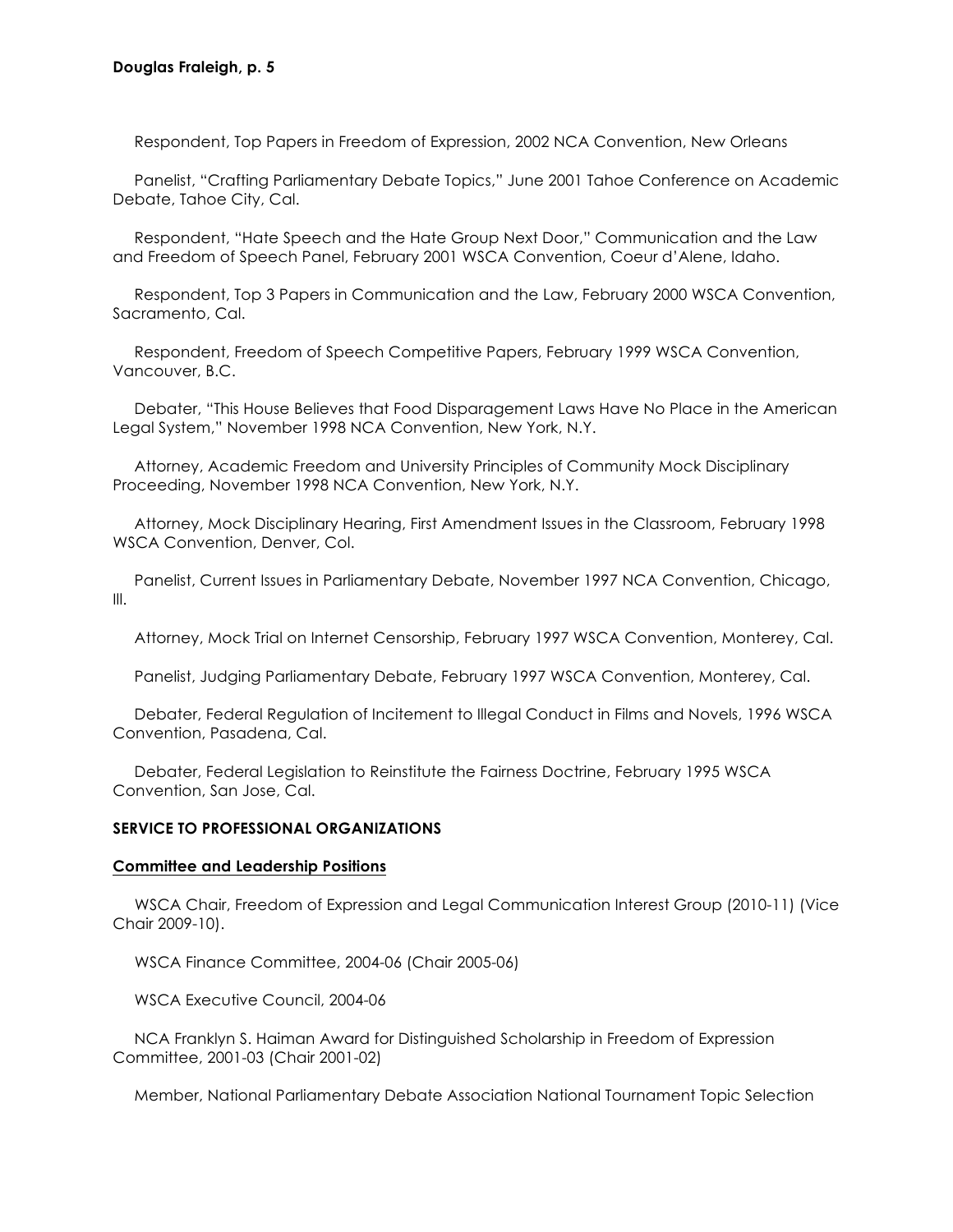Respondent, Top Papers in Freedom of Expression, 2002 NCA Convention, New Orleans

 Panelist, "Crafting Parliamentary Debate Topics," June 2001 Tahoe Conference on Academic Debate, Tahoe City, Cal.

 Respondent, "Hate Speech and the Hate Group Next Door," Communication and the Law and Freedom of Speech Panel, February 2001 WSCA Convention, Coeur d'Alene, Idaho.

 Respondent, Top 3 Papers in Communication and the Law, February 2000 WSCA Convention, Sacramento, Cal.

 Respondent, Freedom of Speech Competitive Papers, February 1999 WSCA Convention, Vancouver, B.C.

 Debater, "This House Believes that Food Disparagement Laws Have No Place in the American Legal System," November 1998 NCA Convention, New York, N.Y.

 Attorney, Academic Freedom and University Principles of Community Mock Disciplinary Proceeding, November 1998 NCA Convention, New York, N.Y.

 Attorney, Mock Disciplinary Hearing, First Amendment Issues in the Classroom, February 1998 WSCA Convention, Denver, Col.

 Panelist, Current Issues in Parliamentary Debate, November 1997 NCA Convention, Chicago, Ill.

Attorney, Mock Trial on Internet Censorship, February 1997 WSCA Convention, Monterey, Cal.

Panelist, Judging Parliamentary Debate, February 1997 WSCA Convention, Monterey, Cal.

 Debater, Federal Regulation of Incitement to Illegal Conduct in Films and Novels, 1996 WSCA Convention, Pasadena, Cal.

 Debater, Federal Legislation to Reinstitute the Fairness Doctrine, February 1995 WSCA Convention, San Jose, Cal.

### **SERVICE TO PROFESSIONAL ORGANIZATIONS**

### **Committee and Leadership Positions**

WSCA Chair, Freedom of Expression and Legal Communication Interest Group (2010-11) (Vice Chair 2009-10).

WSCA Finance Committee, 2004-06 (Chair 2005-06)

WSCA Executive Council, 2004-06

 NCA Franklyn S. Haiman Award for Distinguished Scholarship in Freedom of Expression Committee, 2001-03 (Chair 2001-02)

Member, National Parliamentary Debate Association National Tournament Topic Selection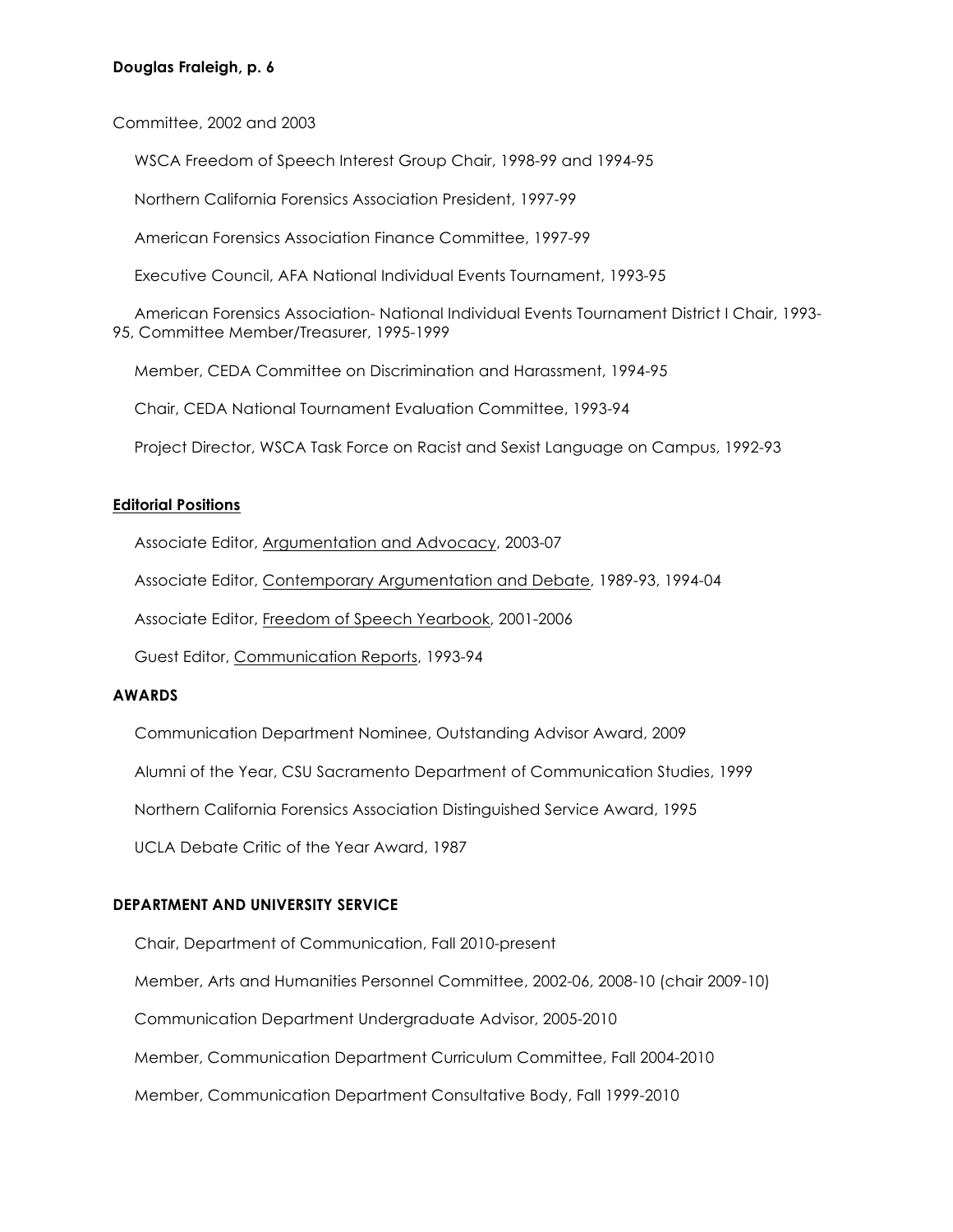## **Douglas Fraleigh, p. 6**

Committee, 2002 and 2003

WSCA Freedom of Speech Interest Group Chair, 1998-99 and 1994-95

Northern California Forensics Association President, 1997-99

American Forensics Association Finance Committee, 1997-99

Executive Council, AFA National Individual Events Tournament, 1993-95

 American Forensics Association- National Individual Events Tournament District I Chair, 1993- 95, Committee Member/Treasurer, 1995-1999

Member, CEDA Committee on Discrimination and Harassment, 1994-95

Chair, CEDA National Tournament Evaluation Committee, 1993-94

Project Director, WSCA Task Force on Racist and Sexist Language on Campus, 1992-93

### **Editorial Positions**

Associate Editor, Argumentation and Advocacy, 2003-07

Associate Editor, Contemporary Argumentation and Debate, 1989-93, 1994-04

Associate Editor, Freedom of Speech Yearbook, 2001-2006

Guest Editor, Communication Reports, 1993-94

## **AWARDS**

Communication Department Nominee, Outstanding Advisor Award, 2009

Alumni of the Year, CSU Sacramento Department of Communication Studies, 1999

Northern California Forensics Association Distinguished Service Award, 1995

UCLA Debate Critic of the Year Award, 1987

# **DEPARTMENT AND UNIVERSITY SERVICE**

Chair, Department of Communication, Fall 2010-present Member, Arts and Humanities Personnel Committee, 2002-06, 2008-10 (chair 2009-10)

Communication Department Undergraduate Advisor, 2005-2010

Member, Communication Department Curriculum Committee, Fall 2004-2010

Member, Communication Department Consultative Body, Fall 1999-2010